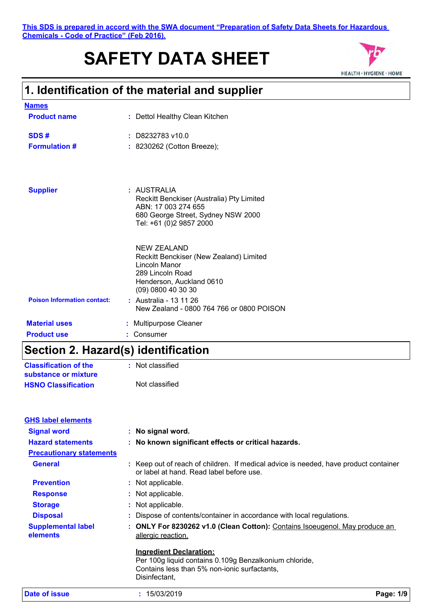This SDS is prepared in accord with the SWA document "Preparation of Safety<br>
<u>Chemicals - Code of Practice" (Feb 2016).</u><br> **SAFETY DATA SHEET**<br>
1. Identification of the material and supplier<br>
Names **This SDS is prepared in accord with the SWA document "Preparation of Safety Data Sheets for Hazardous Chemicals - Code of Practice" (Feb 2016).**

## **SAFETY DATA SHEET**



| <b>Names</b>                       |                                                                                                                                                  |
|------------------------------------|--------------------------------------------------------------------------------------------------------------------------------------------------|
| <b>Product name</b>                | : Dettol Healthy Clean Kitchen                                                                                                                   |
| SDS#                               | $:$ D8232783 v10.0                                                                                                                               |
| <b>Formulation #</b>               | : 8230262 (Cotton Breeze);                                                                                                                       |
|                                    |                                                                                                                                                  |
| <b>Supplier</b>                    | : AUSTRALIA<br>Reckitt Benckiser (Australia) Pty Limited<br>ABN: 17 003 274 655<br>680 George Street, Sydney NSW 2000<br>Tel: +61 (0)2 9857 2000 |
|                                    | NEW ZEALAND<br>Reckitt Benckiser (New Zealand) Limited<br>Lincoln Manor<br>289 Lincoln Road<br>Henderson, Auckland 0610<br>(09) 0800 40 30 30    |
| <b>Poison Information contact:</b> | : Australia - 13 11 26<br>New Zealand - 0800 764 766 or 0800 POISON                                                                              |
| <b>Material uses</b>               | <b>Multipurpose Cleaner</b>                                                                                                                      |
| <b>Product use</b>                 | Consumer                                                                                                                                         |

## **Section 2. Hazard(s) identification**

| <b>Classification of the</b> | : Not classified |
|------------------------------|------------------|
| substance or mixture         |                  |
| <b>HSNO Classification</b>   | Not classified   |

| <b>GHS label elements</b>             |                                                                                                                                                           |           |
|---------------------------------------|-----------------------------------------------------------------------------------------------------------------------------------------------------------|-----------|
| <b>Signal word</b>                    | : No signal word.                                                                                                                                         |           |
| <b>Hazard statements</b>              | : No known significant effects or critical hazards.                                                                                                       |           |
| <b>Precautionary statements</b>       |                                                                                                                                                           |           |
| <b>General</b>                        | : Keep out of reach of children. If medical advice is needed, have product container<br>or label at hand. Read label before use.                          |           |
| <b>Prevention</b>                     | : Not applicable.                                                                                                                                         |           |
| <b>Response</b>                       | : Not applicable.                                                                                                                                         |           |
| <b>Storage</b>                        | : Not applicable.                                                                                                                                         |           |
| <b>Disposal</b>                       | Dispose of contents/container in accordance with local regulations.                                                                                       |           |
| <b>Supplemental label</b><br>elements | : ONLY For 8230262 v1.0 (Clean Cotton): Contains Isoeugenol. May produce an<br>allergic reaction.                                                         |           |
|                                       | <b>Ingredient Declaration:</b><br>Per 100g liquid contains 0.109g Benzalkonium chloride,<br>Contains less than 5% non-ionic surfactants,<br>Disinfectant, |           |
| Date of issue                         | : 15/03/2019                                                                                                                                              | Page: 1/9 |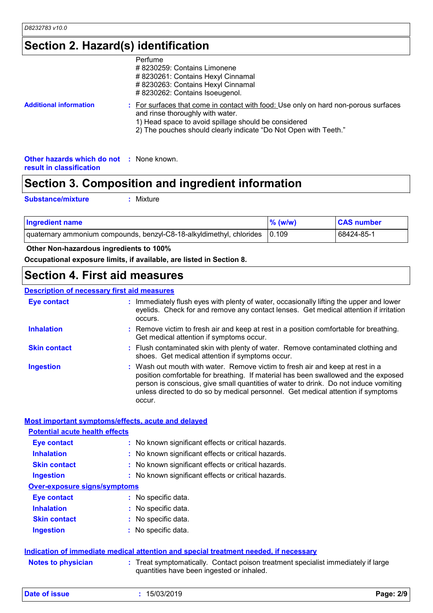## **Section 2. Hazard(s) identification**

|                               | Perfume<br>#8230259: Contains Limonene<br>#8230261: Contains Hexyl Cinnamal<br>#8230263: Contains Hexyl Cinnamal<br>#8230262: Contains Isoeugenol.                                                                                                  |
|-------------------------------|-----------------------------------------------------------------------------------------------------------------------------------------------------------------------------------------------------------------------------------------------------|
| <b>Additional information</b> | : For surfaces that come in contact with food: Use only on hard non-porous surfaces<br>and rinse thoroughly with water.<br>1) Head space to avoid spillage should be considered<br>2) The pouches should clearly indicate "Do Not Open with Teeth." |

**Other hazards which do not :** None known. **result in classification**

## **Section 3. Composition and ingredient information**

| <b>Substance/mixture</b> | : Mixture |
|--------------------------|-----------|
|--------------------------|-----------|

| <b>Ingredient name</b>                                               | $%$ (w/w)          | <b>CAS number</b> |
|----------------------------------------------------------------------|--------------------|-------------------|
| quaternary ammonium compounds, benzyl-C8-18-alkyldimethyl, chlorides | $\overline{0.109}$ | 68424-85-1        |

### **Other Non-hazardous ingredients to 100%**

**Occupational exposure limits, if available, are listed in Section 8.**

## **Section 4. First aid measures**

### **Description of necessary first aid measures**

| <b>Eye contact</b>  | : Immediately flush eyes with plenty of water, occasionally lifting the upper and lower<br>eyelids. Check for and remove any contact lenses. Get medical attention if irritation<br>occurs.                                                                                                                                                               |
|---------------------|-----------------------------------------------------------------------------------------------------------------------------------------------------------------------------------------------------------------------------------------------------------------------------------------------------------------------------------------------------------|
| <b>Inhalation</b>   | : Remove victim to fresh air and keep at rest in a position comfortable for breathing.<br>Get medical attention if symptoms occur.                                                                                                                                                                                                                        |
| <b>Skin contact</b> | : Flush contaminated skin with plenty of water. Remove contaminated clothing and<br>shoes. Get medical attention if symptoms occur.                                                                                                                                                                                                                       |
| <b>Ingestion</b>    | : Wash out mouth with water. Remove victim to fresh air and keep at rest in a<br>position comfortable for breathing. If material has been swallowed and the exposed<br>person is conscious, give small quantities of water to drink. Do not induce vomiting<br>unless directed to do so by medical personnel. Get medical attention if symptoms<br>occur. |

### **Most important symptoms/effects, acute and delayed**

| <b>Potential acute health effects</b> |                                                     |
|---------------------------------------|-----------------------------------------------------|
| <b>Eye contact</b>                    | : No known significant effects or critical hazards. |
| <b>Inhalation</b>                     | : No known significant effects or critical hazards. |
| <b>Skin contact</b>                   | : No known significant effects or critical hazards. |
| <b>Ingestion</b>                      | : No known significant effects or critical hazards. |
| <b>Over-exposure signs/symptoms</b>   |                                                     |
| Eye contact                           | : No specific data.                                 |
| <b>Inhalation</b>                     | : No specific data.                                 |
| <b>Skin contact</b>                   | : No specific data.                                 |
| <b>Ingestion</b>                      | : No specific data.                                 |

## **Indication of immediate medical attention and special treatment needed, if necessary**

**Notes to physician :** Treat symptomatically. Contact poison treatment specialist immediately if large quantities have been ingested or inhaled.

**Date of issue :** 15/03/2019 **Page: 2/9**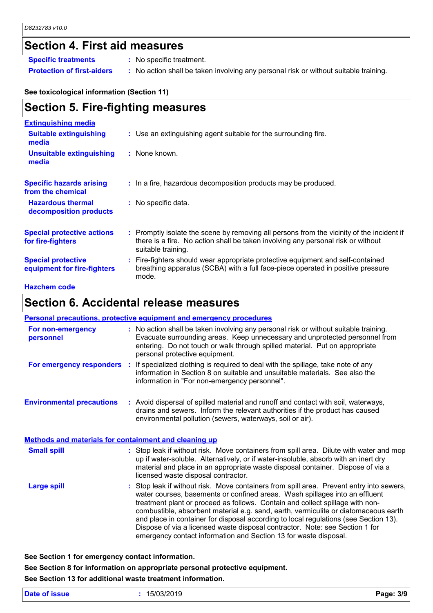## **Section 4. First aid measures**

**Specific treatments :** No specific treatment.

**Protection of first-aiders** : No action shall be taken involving any personal risk or without suitable training.

### **See toxicological information (Section 11)**

| <b>Section 5. Fire-fighting measures</b>                 |                                                                                                                                                                                                     |  |
|----------------------------------------------------------|-----------------------------------------------------------------------------------------------------------------------------------------------------------------------------------------------------|--|
| <b>Extinguishing media</b>                               |                                                                                                                                                                                                     |  |
| <b>Suitable extinguishing</b><br>media                   | : Use an extinguishing agent suitable for the surrounding fire.                                                                                                                                     |  |
| <b>Unsuitable extinguishing</b><br>media                 | : None known.                                                                                                                                                                                       |  |
| <b>Specific hazards arising</b><br>from the chemical     | : In a fire, hazardous decomposition products may be produced.                                                                                                                                      |  |
| <b>Hazardous thermal</b><br>decomposition products       | : No specific data.                                                                                                                                                                                 |  |
| <b>Special protective actions</b><br>for fire-fighters   | : Promptly isolate the scene by removing all persons from the vicinity of the incident if<br>there is a fire. No action shall be taken involving any personal risk or without<br>suitable training. |  |
| <b>Special protective</b><br>equipment for fire-fighters | : Fire-fighters should wear appropriate protective equipment and self-contained<br>breathing apparatus (SCBA) with a full face-piece operated in positive pressure<br>mode.                         |  |
|                                                          |                                                                                                                                                                                                     |  |

```
Hazchem code
```
## **Section 6. Accidental release measures**

|                                                              | <b>Personal precautions, protective equipment and emergency procedures</b>                                                                                                                                                                                                                                                                                                                                                                                                                                                                                                                  |
|--------------------------------------------------------------|---------------------------------------------------------------------------------------------------------------------------------------------------------------------------------------------------------------------------------------------------------------------------------------------------------------------------------------------------------------------------------------------------------------------------------------------------------------------------------------------------------------------------------------------------------------------------------------------|
| For non-emergency<br>personnel                               | : No action shall be taken involving any personal risk or without suitable training.<br>Evacuate surrounding areas. Keep unnecessary and unprotected personnel from<br>entering. Do not touch or walk through spilled material. Put on appropriate<br>personal protective equipment.                                                                                                                                                                                                                                                                                                        |
|                                                              | <b>For emergency responders</b> : If specialized clothing is required to deal with the spillage, take note of any<br>information in Section 8 on suitable and unsuitable materials. See also the<br>information in "For non-emergency personnel".                                                                                                                                                                                                                                                                                                                                           |
| <b>Environmental precautions</b>                             | : Avoid dispersal of spilled material and runoff and contact with soil, waterways,<br>drains and sewers. Inform the relevant authorities if the product has caused<br>environmental pollution (sewers, waterways, soil or air).                                                                                                                                                                                                                                                                                                                                                             |
| <b>Methods and materials for containment and cleaning up</b> |                                                                                                                                                                                                                                                                                                                                                                                                                                                                                                                                                                                             |
| <b>Small spill</b>                                           | : Stop leak if without risk. Move containers from spill area. Dilute with water and mop<br>up if water-soluble. Alternatively, or if water-insoluble, absorb with an inert dry<br>material and place in an appropriate waste disposal container. Dispose of via a<br>licensed waste disposal contractor.                                                                                                                                                                                                                                                                                    |
| <b>Large spill</b>                                           | : Stop leak if without risk. Move containers from spill area. Prevent entry into sewers,<br>water courses, basements or confined areas. Wash spillages into an effluent<br>treatment plant or proceed as follows. Contain and collect spillage with non-<br>combustible, absorbent material e.g. sand, earth, vermiculite or diatomaceous earth<br>and place in container for disposal according to local regulations (see Section 13).<br>Dispose of via a licensed waste disposal contractor. Note: see Section 1 for<br>emergency contact information and Section 13 for waste disposal. |

**See Section 1 for emergency contact information.**

**See Section 8 for information on appropriate personal protective equipment.**

**See Section 13 for additional waste treatment information.**

| Date of issue | 15/03/2019 | Page: 3/9 |  |
|---------------|------------|-----------|--|
|               |            |           |  |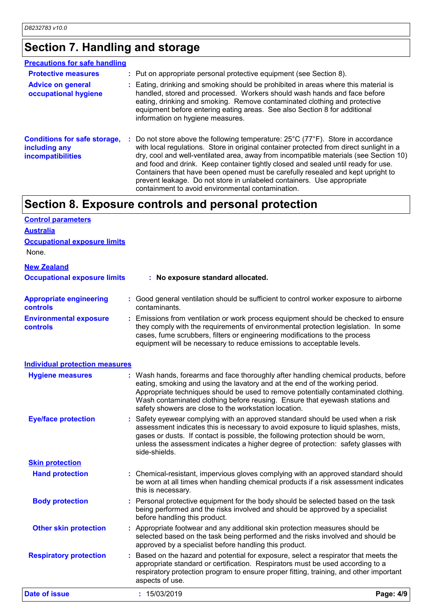## **Section 7. Handling and storage**

| <b>Precautions for safe handling</b>                                      |                                                                                                                                                                                                                                                                                                                                                                                                                                                                                                                                                                                                  |
|---------------------------------------------------------------------------|--------------------------------------------------------------------------------------------------------------------------------------------------------------------------------------------------------------------------------------------------------------------------------------------------------------------------------------------------------------------------------------------------------------------------------------------------------------------------------------------------------------------------------------------------------------------------------------------------|
| <b>Protective measures</b>                                                | : Put on appropriate personal protective equipment (see Section 8).                                                                                                                                                                                                                                                                                                                                                                                                                                                                                                                              |
| <b>Advice on general</b><br>occupational hygiene                          | : Eating, drinking and smoking should be prohibited in areas where this material is<br>handled, stored and processed. Workers should wash hands and face before<br>eating, drinking and smoking. Remove contaminated clothing and protective<br>equipment before entering eating areas. See also Section 8 for additional<br>information on hygiene measures.                                                                                                                                                                                                                                    |
| <b>Conditions for safe storage,</b><br>including any<br>incompatibilities | : Do not store above the following temperature: $25^{\circ}$ C (77 $^{\circ}$ F). Store in accordance<br>with local regulations. Store in original container protected from direct sunlight in a<br>dry, cool and well-ventilated area, away from incompatible materials (see Section 10)<br>and food and drink. Keep container tightly closed and sealed until ready for use.<br>Containers that have been opened must be carefully resealed and kept upright to<br>prevent leakage. Do not store in unlabeled containers. Use appropriate<br>containment to avoid environmental contamination. |

## **Section 8. Exposure controls and personal protection**

| <b>Control parameters</b>                        |                                                                                                                                                                                                                                                                                                                                                                                                   |
|--------------------------------------------------|---------------------------------------------------------------------------------------------------------------------------------------------------------------------------------------------------------------------------------------------------------------------------------------------------------------------------------------------------------------------------------------------------|
| Australia                                        |                                                                                                                                                                                                                                                                                                                                                                                                   |
| <b>Occupational exposure limits</b>              |                                                                                                                                                                                                                                                                                                                                                                                                   |
| None.                                            |                                                                                                                                                                                                                                                                                                                                                                                                   |
| <b>New Zealand</b>                               |                                                                                                                                                                                                                                                                                                                                                                                                   |
| <b>Occupational exposure limits</b>              | : No exposure standard allocated.                                                                                                                                                                                                                                                                                                                                                                 |
| <b>Appropriate engineering</b><br>controls       | : Good general ventilation should be sufficient to control worker exposure to airborne<br>contaminants.                                                                                                                                                                                                                                                                                           |
| <b>Environmental exposure</b><br><b>controls</b> | : Emissions from ventilation or work process equipment should be checked to ensure<br>they comply with the requirements of environmental protection legislation. In some<br>cases, fume scrubbers, filters or engineering modifications to the process<br>equipment will be necessary to reduce emissions to acceptable levels.                                                                   |
| <b>Individual protection measures</b>            |                                                                                                                                                                                                                                                                                                                                                                                                   |
| <b>Hygiene measures</b>                          | : Wash hands, forearms and face thoroughly after handling chemical products, before<br>eating, smoking and using the lavatory and at the end of the working period.<br>Appropriate techniques should be used to remove potentially contaminated clothing.<br>Wash contaminated clothing before reusing. Ensure that eyewash stations and<br>safety showers are close to the workstation location. |
| <b>Eye/face protection</b>                       | Safety eyewear complying with an approved standard should be used when a risk<br>assessment indicates this is necessary to avoid exposure to liquid splashes, mists,<br>gases or dusts. If contact is possible, the following protection should be worn,<br>unless the assessment indicates a higher degree of protection: safety glasses with<br>side-shields.                                   |
| <b>Skin protection</b>                           |                                                                                                                                                                                                                                                                                                                                                                                                   |
| <b>Hand protection</b>                           | : Chemical-resistant, impervious gloves complying with an approved standard should<br>be worn at all times when handling chemical products if a risk assessment indicates<br>this is necessary.                                                                                                                                                                                                   |
| <b>Body protection</b>                           | Personal protective equipment for the body should be selected based on the task<br>being performed and the risks involved and should be approved by a specialist<br>before handling this product.                                                                                                                                                                                                 |
| <b>Other skin protection</b>                     | : Appropriate footwear and any additional skin protection measures should be<br>selected based on the task being performed and the risks involved and should be<br>approved by a specialist before handling this product.                                                                                                                                                                         |
| <b>Respiratory protection</b>                    | : Based on the hazard and potential for exposure, select a respirator that meets the<br>appropriate standard or certification. Respirators must be used according to a<br>respiratory protection program to ensure proper fitting, training, and other important<br>aspects of use.                                                                                                               |
| <b>Date of issue</b>                             | : 15/03/2019<br>Page: 4/9                                                                                                                                                                                                                                                                                                                                                                         |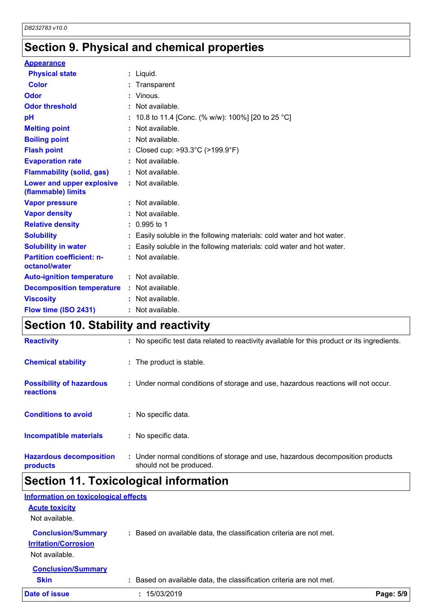## **Section 9. Physical and chemical properties**

| <b>Appearance</b>                                 |                                                                      |
|---------------------------------------------------|----------------------------------------------------------------------|
| <b>Physical state</b>                             | : Liquid.                                                            |
| Color                                             | Transparent                                                          |
| Odor                                              | Vinous.                                                              |
| <b>Odor threshold</b>                             | Not available.                                                       |
| рH                                                | 10.8 to 11.4 [Conc. (% w/w): 100%] [20 to 25 °C]                     |
| <b>Melting point</b>                              | Not available.                                                       |
| <b>Boiling point</b>                              | Not available.                                                       |
| <b>Flash point</b>                                | Closed cup: >93.3°C (>199.9°F)                                       |
| <b>Evaporation rate</b>                           | Not available.                                                       |
| <b>Flammability (solid, gas)</b>                  | : Not available.                                                     |
| Lower and upper explosive<br>(flammable) limits   | : Not available.                                                     |
| <b>Vapor pressure</b>                             | : Not available.                                                     |
| <b>Vapor density</b>                              | Not available.                                                       |
| <b>Relative density</b>                           | 0.995 to 1                                                           |
| <b>Solubility</b>                                 | Easily soluble in the following materials: cold water and hot water. |
| <b>Solubility in water</b>                        | Easily soluble in the following materials: cold water and hot water. |
| <b>Partition coefficient: n-</b><br>octanol/water | $:$ Not available.                                                   |
| <b>Auto-ignition temperature</b>                  | : Not available.                                                     |
| <b>Decomposition temperature</b>                  | Not available.                                                       |
| <b>Viscosity</b>                                  | : Not available.                                                     |
| Flow time (ISO 2431)                              | Not available.                                                       |

## **Section 10. Stability and reactivity**

| <b>Reactivity</b>                            | : No specific test data related to reactivity available for this product or its ingredients.              |
|----------------------------------------------|-----------------------------------------------------------------------------------------------------------|
| <b>Chemical stability</b>                    | : The product is stable.                                                                                  |
| <b>Possibility of hazardous</b><br>reactions | : Under normal conditions of storage and use, hazardous reactions will not occur.                         |
| <b>Conditions to avoid</b>                   | : No specific data.                                                                                       |
| <b>Incompatible materials</b>                | : No specific data.                                                                                       |
| <b>Hazardous decomposition</b><br>products   | : Under normal conditions of storage and use, hazardous decomposition products<br>should not be produced. |

## **Section 11. Toxicological information**

| Information on toxicological effects                                       |                                                                     |           |
|----------------------------------------------------------------------------|---------------------------------------------------------------------|-----------|
| <b>Acute toxicity</b><br>Not available.                                    |                                                                     |           |
| <b>Conclusion/Summary</b><br><b>Irritation/Corrosion</b><br>Not available. | : Based on available data, the classification criteria are not met. |           |
| <b>Conclusion/Summary</b><br><b>Skin</b>                                   | : Based on available data, the classification criteria are not met. |           |
| Date of issue                                                              | 15/03/2019                                                          | Page: 5/9 |

| 15/03/2019 | Page: 5/9 |
|------------|-----------|
|            |           |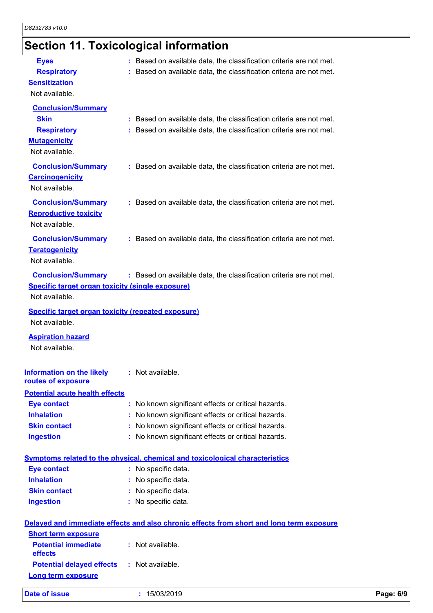# **Section 11. Toxicological information**

| <b>Conclusion/Summary</b>                                                   |                                                                                          |           |
|-----------------------------------------------------------------------------|------------------------------------------------------------------------------------------|-----------|
| <b>Skin</b>                                                                 | : Based on available data, the classification criteria are not met.                      |           |
| <b>Respiratory</b>                                                          | : Based on available data, the classification criteria are not met.                      |           |
| <b>Mutagenicity</b>                                                         |                                                                                          |           |
| Not available.                                                              |                                                                                          |           |
| <b>Conclusion/Summary</b>                                                   | : Based on available data, the classification criteria are not met.                      |           |
| <b>Carcinogenicity</b><br>Not available.                                    |                                                                                          |           |
|                                                                             |                                                                                          |           |
| <b>Conclusion/Summary</b><br><b>Reproductive toxicity</b>                   | : Based on available data, the classification criteria are not met.                      |           |
| Not available.                                                              |                                                                                          |           |
| <b>Conclusion/Summary</b>                                                   | : Based on available data, the classification criteria are not met.                      |           |
| <b>Teratogenicity</b>                                                       |                                                                                          |           |
| Not available.                                                              |                                                                                          |           |
| <b>Conclusion/Summary</b>                                                   | : Based on available data, the classification criteria are not met.                      |           |
| <b>Specific target organ toxicity (single exposure)</b>                     |                                                                                          |           |
| Not available.                                                              |                                                                                          |           |
| <b>Specific target organ toxicity (repeated exposure)</b><br>Not available. |                                                                                          |           |
| <b>Aspiration hazard</b>                                                    |                                                                                          |           |
| Not available.                                                              |                                                                                          |           |
|                                                                             |                                                                                          |           |
| <b>Information on the likely</b>                                            | : Not available.                                                                         |           |
| routes of exposure                                                          |                                                                                          |           |
| <b>Potential acute health effects</b><br><b>Eye contact</b>                 | No known significant effects or critical hazards.                                        |           |
| <b>Inhalation</b>                                                           | No known significant effects or critical hazards.                                        |           |
| <b>Skin contact</b>                                                         | No known significant effects or critical hazards.                                        |           |
| <b>Ingestion</b>                                                            | No known significant effects or critical hazards.                                        |           |
|                                                                             |                                                                                          |           |
|                                                                             | <b>Symptoms related to the physical, chemical and toxicological characteristics</b>      |           |
| <b>Eye contact</b><br><b>Inhalation</b>                                     | : No specific data.<br>No specific data.                                                 |           |
| <b>Skin contact</b>                                                         | : No specific data.                                                                      |           |
| <b>Ingestion</b>                                                            | : No specific data.                                                                      |           |
|                                                                             |                                                                                          |           |
|                                                                             | Delayed and immediate effects and also chronic effects from short and long term exposure |           |
| <b>Short term exposure</b><br><b>Potential immediate</b>                    | : Not available.                                                                         |           |
| effects                                                                     |                                                                                          |           |
| <b>Potential delayed effects</b>                                            | : Not available.                                                                         |           |
| <b>Long term exposure</b>                                                   |                                                                                          |           |
| <b>Date of issue</b>                                                        | : 15/03/2019                                                                             | Page: 6/9 |
|                                                                             |                                                                                          |           |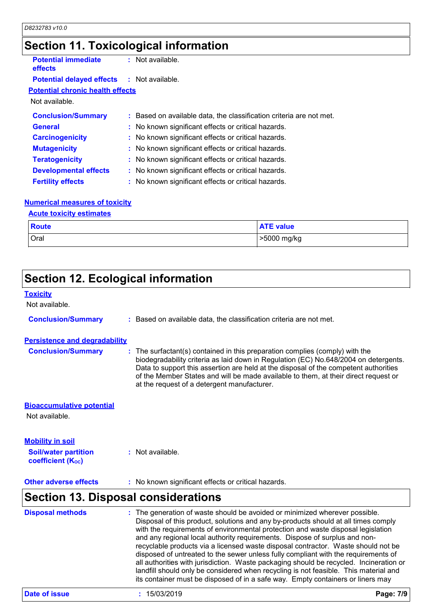## **Section 11. Toxicological information**

| <b>Potential immediate</b><br><b>effects</b>      | : Not available.                                                    |  |
|---------------------------------------------------|---------------------------------------------------------------------|--|
| <b>Potential delayed effects : Not available.</b> |                                                                     |  |
| <b>Potential chronic health effects</b>           |                                                                     |  |
| Not available.                                    |                                                                     |  |
| <b>Conclusion/Summary</b>                         | : Based on available data, the classification criteria are not met. |  |
| <b>General</b>                                    | : No known significant effects or critical hazards.                 |  |
| <b>Carcinogenicity</b>                            | : No known significant effects or critical hazards.                 |  |
| <b>Mutagenicity</b>                               | : No known significant effects or critical hazards.                 |  |
| <b>Teratogenicity</b>                             | : No known significant effects or critical hazards.                 |  |
| <b>Developmental effects</b>                      | : No known significant effects or critical hazards.                 |  |
| <b>Fertility effects</b>                          | : No known significant effects or critical hazards.                 |  |
|                                                   |                                                                     |  |

### **Numerical measures of toxicity**

### **Acute toxicity estimates**

| <b>Route</b> | <b>ATE value</b> |  |  |
|--------------|------------------|--|--|
| Oral         | >5000 mg/kg      |  |  |

|                                                         | <b>Section 12. Ecological information</b>                                                                                                                                                                                                                                                                                                                                                                                                                                                                                                                                                                                                                                                                                                                                           |
|---------------------------------------------------------|-------------------------------------------------------------------------------------------------------------------------------------------------------------------------------------------------------------------------------------------------------------------------------------------------------------------------------------------------------------------------------------------------------------------------------------------------------------------------------------------------------------------------------------------------------------------------------------------------------------------------------------------------------------------------------------------------------------------------------------------------------------------------------------|
| <b>Toxicity</b>                                         |                                                                                                                                                                                                                                                                                                                                                                                                                                                                                                                                                                                                                                                                                                                                                                                     |
| Not available.                                          |                                                                                                                                                                                                                                                                                                                                                                                                                                                                                                                                                                                                                                                                                                                                                                                     |
| <b>Conclusion/Summary</b>                               | : Based on available data, the classification criteria are not met.                                                                                                                                                                                                                                                                                                                                                                                                                                                                                                                                                                                                                                                                                                                 |
| <b>Persistence and degradability</b>                    |                                                                                                                                                                                                                                                                                                                                                                                                                                                                                                                                                                                                                                                                                                                                                                                     |
| <b>Conclusion/Summary</b>                               | The surfactant(s) contained in this preparation complies (comply) with the<br>biodegradability criteria as laid down in Regulation (EC) No.648/2004 on detergents.<br>Data to support this assertion are held at the disposal of the competent authorities<br>of the Member States and will be made available to them, at their direct request or<br>at the request of a detergent manufacturer.                                                                                                                                                                                                                                                                                                                                                                                    |
| <b>Bioaccumulative potential</b><br>Not available.      |                                                                                                                                                                                                                                                                                                                                                                                                                                                                                                                                                                                                                                                                                                                                                                                     |
| <b>Mobility in soil</b>                                 |                                                                                                                                                                                                                                                                                                                                                                                                                                                                                                                                                                                                                                                                                                                                                                                     |
| <b>Soil/water partition</b><br><b>coefficient (Koc)</b> | : Not available.                                                                                                                                                                                                                                                                                                                                                                                                                                                                                                                                                                                                                                                                                                                                                                    |
| <b>Other adverse effects</b>                            | : No known significant effects or critical hazards.                                                                                                                                                                                                                                                                                                                                                                                                                                                                                                                                                                                                                                                                                                                                 |
|                                                         | <b>Section 13. Disposal considerations</b>                                                                                                                                                                                                                                                                                                                                                                                                                                                                                                                                                                                                                                                                                                                                          |
| <b>Disposal methods</b>                                 | : The generation of waste should be avoided or minimized wherever possible.<br>Disposal of this product, solutions and any by-products should at all times comply<br>with the requirements of environmental protection and waste disposal legislation<br>and any regional local authority requirements. Dispose of surplus and non-<br>recyclable products via a licensed waste disposal contractor. Waste should not be<br>disposed of untreated to the sewer unless fully compliant with the requirements of<br>all authorities with jurisdiction. Waste packaging should be recycled. Incineration or<br>landfill should only be considered when recycling is not feasible. This material and<br>its container must be disposed of in a safe way. Empty containers or liners may |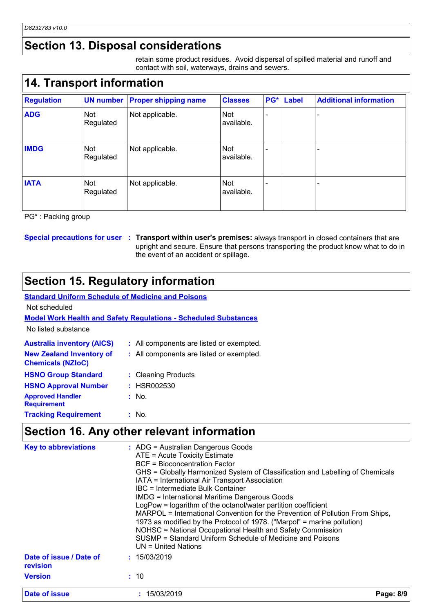### **Section 13. Disposal considerations**

retain some product residues. Avoid dispersal of spilled material and runoff and contact with soil, waterways, drains and sewers.

### **14. Transport information**

| <b>Regulation</b> | <b>UN number</b> | <b>Proper shipping name</b> | <b>Classes</b>           | <b>PG*</b> Label | <b>Additional information</b> |
|-------------------|------------------|-----------------------------|--------------------------|------------------|-------------------------------|
| <b>ADG</b>        | Not<br>Regulated | Not applicable.             | Not<br>available.        |                  |                               |
| <b>IMDG</b>       | Not<br>Regulated | Not applicable.             | <b>Not</b><br>available. |                  |                               |
| <b>IATA</b>       | Not<br>Regulated | Not applicable.             | <b>Not</b><br>available. |                  |                               |

PG\* : Packing group

#### **Special precautions for user Transport within user's premises:** always transport in closed containers that are **:** upright and secure. Ensure that persons transporting the product know what to do in the event of an accident or spillage.

### **Section 15. Regulatory information**

### **Standard Uniform Schedule of Medicine and Poisons**

Not scheduled

### **Model Work Health and Safety Regulations - Scheduled Substances**

No listed substance

| <b>Australia inventory (AICS)</b>                           | : All components are listed or exempted. |
|-------------------------------------------------------------|------------------------------------------|
| <b>New Zealand Inventory of</b><br><b>Chemicals (NZIoC)</b> | : All components are listed or exempted. |
| <b>HSNO Group Standard</b>                                  | : Cleaning Products                      |
| <b>HSNO Approval Number</b>                                 | : HSR002530                              |
| <b>Approved Handler</b><br><b>Requirement</b>               | $:$ No.                                  |
| <b>Tracking Requirement</b>                                 | : No.                                    |

## **Section 16. Any other relevant information**

| <b>Key to abbreviations</b>         | : ADG = Australian Dangerous Goods<br>ATE = Acute Toxicity Estimate<br><b>BCF</b> = Bioconcentration Factor<br>GHS = Globally Harmonized System of Classification and Labelling of Chemicals<br>IATA = International Air Transport Association<br>IBC = Intermediate Bulk Container<br><b>IMDG = International Maritime Dangerous Goods</b><br>LogPow = logarithm of the octanol/water partition coefficient<br>MARPOL = International Convention for the Prevention of Pollution From Ships,<br>1973 as modified by the Protocol of 1978. ("Marpol" = marine pollution)<br>NOHSC = National Occupational Health and Safety Commission<br>SUSMP = Standard Uniform Schedule of Medicine and Poisons<br>UN = United Nations |
|-------------------------------------|----------------------------------------------------------------------------------------------------------------------------------------------------------------------------------------------------------------------------------------------------------------------------------------------------------------------------------------------------------------------------------------------------------------------------------------------------------------------------------------------------------------------------------------------------------------------------------------------------------------------------------------------------------------------------------------------------------------------------|
| Date of issue / Date of<br>revision | : 15/03/2019                                                                                                                                                                                                                                                                                                                                                                                                                                                                                                                                                                                                                                                                                                               |
| <b>Version</b>                      | : 10                                                                                                                                                                                                                                                                                                                                                                                                                                                                                                                                                                                                                                                                                                                       |
| Date of issue                       | : 15/03/2019<br>Page: 8/9                                                                                                                                                                                                                                                                                                                                                                                                                                                                                                                                                                                                                                                                                                  |